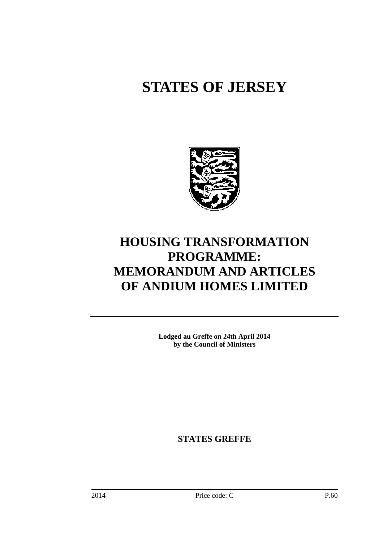# **STATES OF JERSEY**



## **HOUSING TRANSFORMATION PROGRAMME: MEMORANDUM AND ARTICLES OF ANDIUM HOMES LIMITED**

**Lodged au Greffe on 24th April 2014 by the Council of Ministers** 

**STATES GREFFE**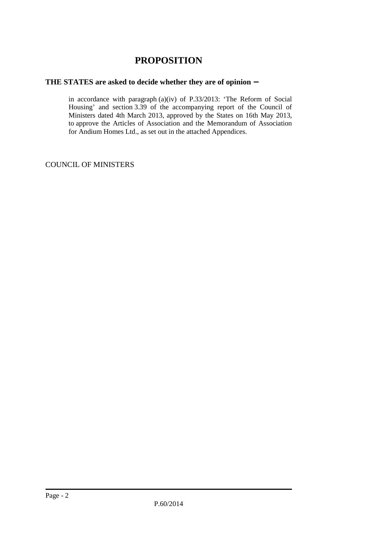## **PROPOSITION**

## **THE STATES are asked to decide whether they are of opinion** −

in accordance with paragraph (a)(iv) of P.33/2013: 'The Reform of Social Housing' and section 3.39 of the accompanying report of the Council of Ministers dated 4th March 2013, approved by the States on 16th May 2013, to approve the Articles of Association and the Memorandum of Association for Andium Homes Ltd., as set out in the attached Appendices.

COUNCIL OF MINISTERS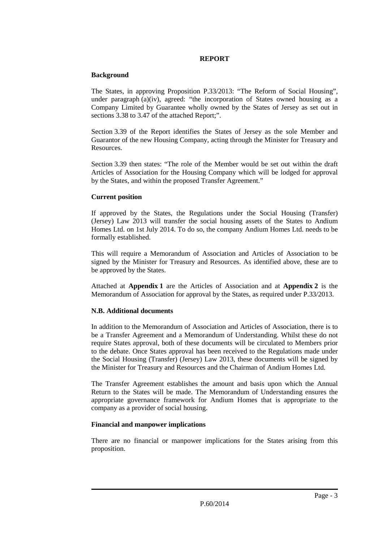#### **REPORT**

#### **Background**

The States, in approving Proposition P.33/2013: "The Reform of Social Housing", under paragraph  $(a)(iv)$ , agreed: "the incorporation of States owned housing as a Company Limited by Guarantee wholly owned by the States of Jersey as set out in sections 3.38 to 3.47 of the attached Report;".

Section 3.39 of the Report identifies the States of Jersey as the sole Member and Guarantor of the new Housing Company, acting through the Minister for Treasury and Resources.

Section 3.39 then states: "The role of the Member would be set out within the draft Articles of Association for the Housing Company which will be lodged for approval by the States, and within the proposed Transfer Agreement."

## **Current position**

If approved by the States, the Regulations under the Social Housing (Transfer) (Jersey) Law 2013 will transfer the social housing assets of the States to Andium Homes Ltd. on 1st July 2014. To do so, the company Andium Homes Ltd. needs to be formally established.

This will require a Memorandum of Association and Articles of Association to be signed by the Minister for Treasury and Resources. As identified above, these are to be approved by the States.

Attached at **Appendix 1** are the Articles of Association and at **Appendix 2** is the Memorandum of Association for approval by the States, as required under P.33/2013.

## **N.B. Additional documents**

In addition to the Memorandum of Association and Articles of Association, there is to be a Transfer Agreement and a Memorandum of Understanding. Whilst these do not require States approval, both of these documents will be circulated to Members prior to the debate. Once States approval has been received to the Regulations made under the Social Housing (Transfer) (Jersey) Law 2013, these documents will be signed by the Minister for Treasury and Resources and the Chairman of Andium Homes Ltd.

The Transfer Agreement establishes the amount and basis upon which the Annual Return to the States will be made. The Memorandum of Understanding ensures the appropriate governance framework for Andium Homes that is appropriate to the company as a provider of social housing.

## **Financial and manpower implications**

There are no financial or manpower implications for the States arising from this proposition.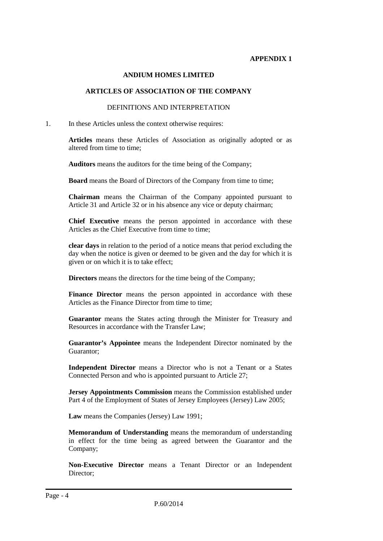#### **APPENDIX 1**

#### **ANDIUM HOMES LIMITED**

#### **ARTICLES OF ASSOCIATION OF THE COMPANY**

#### DEFINITIONS AND INTERPRETATION

1. In these Articles unless the context otherwise requires:

**Articles** means these Articles of Association as originally adopted or as altered from time to time;

**Auditors** means the auditors for the time being of the Company;

**Board** means the Board of Directors of the Company from time to time;

**Chairman** means the Chairman of the Company appointed pursuant to Article 31 and Article 32 or in his absence any vice or deputy chairman;

**Chief Executive** means the person appointed in accordance with these Articles as the Chief Executive from time to time;

**clear days** in relation to the period of a notice means that period excluding the day when the notice is given or deemed to be given and the day for which it is given or on which it is to take effect;

**Directors** means the directors for the time being of the Company;

Finance Director means the person appointed in accordance with these Articles as the Finance Director from time to time;

**Guarantor** means the States acting through the Minister for Treasury and Resources in accordance with the Transfer Law;

**Guarantor's Appointee** means the Independent Director nominated by the Guarantor;

**Independent Director** means a Director who is not a Tenant or a States Connected Person and who is appointed pursuant to Article 27;

**Jersey Appointments Commission** means the Commission established under Part 4 of the Employment of States of Jersey Employees (Jersey) Law 2005;

**Law** means the Companies (Jersey) Law 1991;

**Memorandum of Understanding** means the memorandum of understanding in effect for the time being as agreed between the Guarantor and the Company;

**Non-Executive Director** means a Tenant Director or an Independent Director;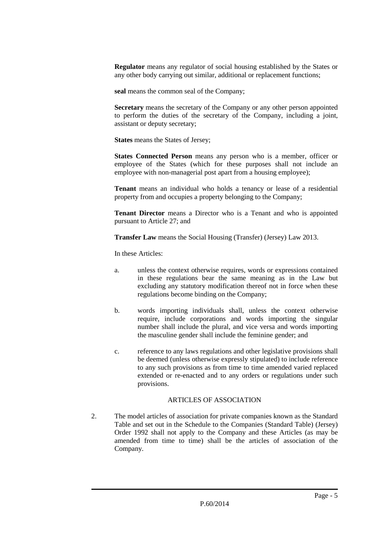**Regulator** means any regulator of social housing established by the States or any other body carrying out similar, additional or replacement functions;

**seal** means the common seal of the Company;

**Secretary** means the secretary of the Company or any other person appointed to perform the duties of the secretary of the Company, including a joint, assistant or deputy secretary;

**States means the States of Jersey:** 

**States Connected Person** means any person who is a member, officer or employee of the States (which for these purposes shall not include an employee with non-managerial post apart from a housing employee);

**Tenant** means an individual who holds a tenancy or lease of a residential property from and occupies a property belonging to the Company;

**Tenant Director** means a Director who is a Tenant and who is appointed pursuant to Article 27; and

**Transfer Law** means the Social Housing (Transfer) (Jersey) Law 2013.

In these Articles:

- a. unless the context otherwise requires, words or expressions contained in these regulations bear the same meaning as in the Law but excluding any statutory modification thereof not in force when these regulations become binding on the Company;
- b. words importing individuals shall, unless the context otherwise require, include corporations and words importing the singular number shall include the plural, and vice versa and words importing the masculine gender shall include the feminine gender; and
- c. reference to any laws regulations and other legislative provisions shall be deemed (unless otherwise expressly stipulated) to include reference to any such provisions as from time to time amended varied replaced extended or re-enacted and to any orders or regulations under such provisions.

## ARTICLES OF ASSOCIATION

2. The model articles of association for private companies known as the Standard Table and set out in the Schedule to the Companies (Standard Table) (Jersey) Order 1992 shall not apply to the Company and these Articles (as may be amended from time to time) shall be the articles of association of the Company.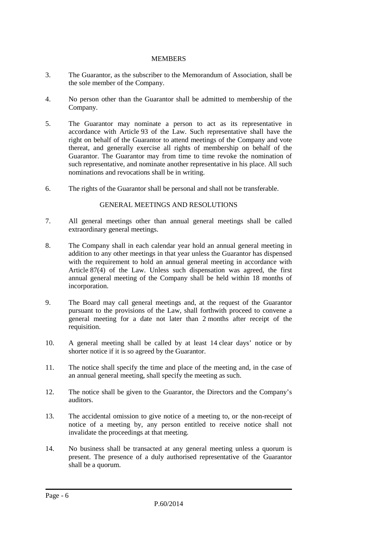#### MEMBERS

- 3. The Guarantor, as the subscriber to the Memorandum of Association, shall be the sole member of the Company.
- 4. No person other than the Guarantor shall be admitted to membership of the Company.
- 5. The Guarantor may nominate a person to act as its representative in accordance with Article 93 of the Law. Such representative shall have the right on behalf of the Guarantor to attend meetings of the Company and vote thereat, and generally exercise all rights of membership on behalf of the Guarantor. The Guarantor may from time to time revoke the nomination of such representative, and nominate another representative in his place. All such nominations and revocations shall be in writing.
- 6. The rights of the Guarantor shall be personal and shall not be transferable.

#### GENERAL MEETINGS AND RESOLUTIONS

- 7. All general meetings other than annual general meetings shall be called extraordinary general meetings.
- 8. The Company shall in each calendar year hold an annual general meeting in addition to any other meetings in that year unless the Guarantor has dispensed with the requirement to hold an annual general meeting in accordance with Article 87(4) of the Law. Unless such dispensation was agreed, the first annual general meeting of the Company shall be held within 18 months of incorporation.
- 9. The Board may call general meetings and, at the request of the Guarantor pursuant to the provisions of the Law, shall forthwith proceed to convene a general meeting for a date not later than 2 months after receipt of the requisition.
- 10. A general meeting shall be called by at least 14 clear days' notice or by shorter notice if it is so agreed by the Guarantor.
- 11. The notice shall specify the time and place of the meeting and, in the case of an annual general meeting, shall specify the meeting as such.
- 12. The notice shall be given to the Guarantor, the Directors and the Company's auditors.
- 13. The accidental omission to give notice of a meeting to, or the non-receipt of notice of a meeting by, any person entitled to receive notice shall not invalidate the proceedings at that meeting.
- 14. No business shall be transacted at any general meeting unless a quorum is present. The presence of a duly authorised representative of the Guarantor shall be a quorum.

Page - 6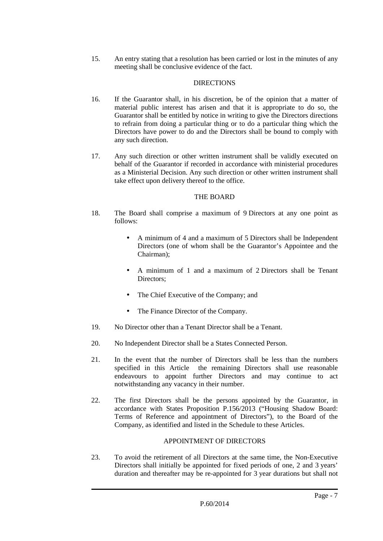15. An entry stating that a resolution has been carried or lost in the minutes of any meeting shall be conclusive evidence of the fact.

## **DIRECTIONS**

- 16. If the Guarantor shall, in his discretion, be of the opinion that a matter of material public interest has arisen and that it is appropriate to do so, the Guarantor shall be entitled by notice in writing to give the Directors directions to refrain from doing a particular thing or to do a particular thing which the Directors have power to do and the Directors shall be bound to comply with any such direction.
- 17. Any such direction or other written instrument shall be validly executed on behalf of the Guarantor if recorded in accordance with ministerial procedures as a Ministerial Decision. Any such direction or other written instrument shall take effect upon delivery thereof to the office.

#### THE BOARD

- 18. The Board shall comprise a maximum of 9 Directors at any one point as follows:
	- A minimum of 4 and a maximum of 5 Directors shall be Independent Directors (one of whom shall be the Guarantor's Appointee and the Chairman);
	- A minimum of 1 and a maximum of 2 Directors shall be Tenant Directors;
	- The Chief Executive of the Company; and
	- The Finance Director of the Company.
- 19. No Director other than a Tenant Director shall be a Tenant.
- 20. No Independent Director shall be a States Connected Person.
- 21. In the event that the number of Directors shall be less than the numbers specified in this Article the remaining Directors shall use reasonable endeavours to appoint further Directors and may continue to act notwithstanding any vacancy in their number.
- 22. The first Directors shall be the persons appointed by the Guarantor, in accordance with States Proposition P.156/2013 ("Housing Shadow Board: Terms of Reference and appointment of Directors"), to the Board of the Company, as identified and listed in the Schedule to these Articles.

## APPOINTMENT OF DIRECTORS

23. To avoid the retirement of all Directors at the same time, the Non-Executive Directors shall initially be appointed for fixed periods of one, 2 and 3 years' duration and thereafter may be re-appointed for 3 year durations but shall not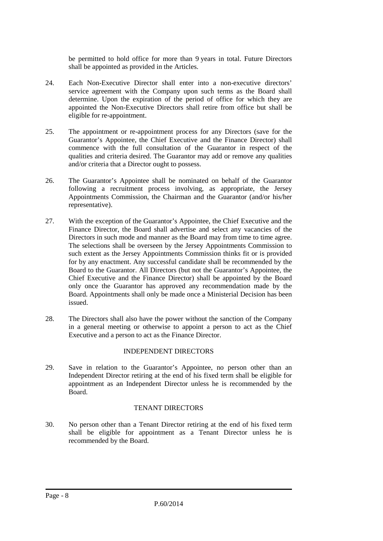be permitted to hold office for more than 9 years in total. Future Directors shall be appointed as provided in the Articles.

- 24. Each Non-Executive Director shall enter into a non-executive directors' service agreement with the Company upon such terms as the Board shall determine. Upon the expiration of the period of office for which they are appointed the Non-Executive Directors shall retire from office but shall be eligible for re-appointment.
- 25. The appointment or re-appointment process for any Directors (save for the Guarantor's Appointee, the Chief Executive and the Finance Director) shall commence with the full consultation of the Guarantor in respect of the qualities and criteria desired. The Guarantor may add or remove any qualities and/or criteria that a Director ought to possess.
- 26. The Guarantor's Appointee shall be nominated on behalf of the Guarantor following a recruitment process involving, as appropriate, the Jersey Appointments Commission, the Chairman and the Guarantor (and/or his/her representative).
- 27. With the exception of the Guarantor's Appointee, the Chief Executive and the Finance Director, the Board shall advertise and select any vacancies of the Directors in such mode and manner as the Board may from time to time agree. The selections shall be overseen by the Jersey Appointments Commission to such extent as the Jersey Appointments Commission thinks fit or is provided for by any enactment. Any successful candidate shall be recommended by the Board to the Guarantor. All Directors (but not the Guarantor's Appointee, the Chief Executive and the Finance Director) shall be appointed by the Board only once the Guarantor has approved any recommendation made by the Board. Appointments shall only be made once a Ministerial Decision has been issued.
- 28. The Directors shall also have the power without the sanction of the Company in a general meeting or otherwise to appoint a person to act as the Chief Executive and a person to act as the Finance Director.

## INDEPENDENT DIRECTORS

29. Save in relation to the Guarantor's Appointee, no person other than an Independent Director retiring at the end of his fixed term shall be eligible for appointment as an Independent Director unless he is recommended by the Board.

## TENANT DIRECTORS

30. No person other than a Tenant Director retiring at the end of his fixed term shall be eligible for appointment as a Tenant Director unless he is recommended by the Board.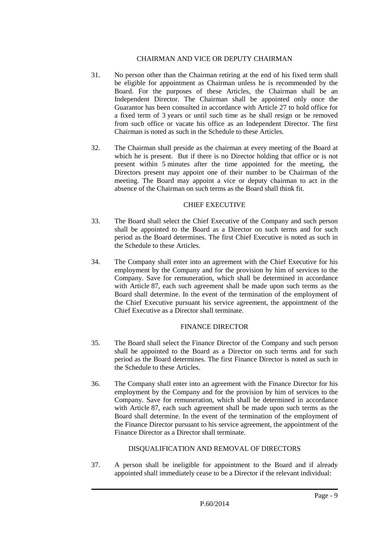#### CHAIRMAN AND VICE OR DEPUTY CHAIRMAN

- 31. No person other than the Chairman retiring at the end of his fixed term shall be eligible for appointment as Chairman unless he is recommended by the Board. For the purposes of these Articles, the Chairman shall be an Independent Director. The Chairman shall be appointed only once the Guarantor has been consulted in accordance with Article 27 to hold office for a fixed term of 3 years or until such time as he shall resign or be removed from such office or vacate his office as an Independent Director. The first Chairman is noted as such in the Schedule to these Articles.
- 32. The Chairman shall preside as the chairman at every meeting of the Board at which he is present. But if there is no Director holding that office or is not present within 5 minutes after the time appointed for the meeting, the Directors present may appoint one of their number to be Chairman of the meeting. The Board may appoint a vice or deputy chairman to act in the absence of the Chairman on such terms as the Board shall think fit.

#### CHIEF EXECUTIVE

- 33. The Board shall select the Chief Executive of the Company and such person shall be appointed to the Board as a Director on such terms and for such period as the Board determines. The first Chief Executive is noted as such in the Schedule to these Articles.
- 34. The Company shall enter into an agreement with the Chief Executive for his employment by the Company and for the provision by him of services to the Company. Save for remuneration, which shall be determined in accordance with Article 87, each such agreement shall be made upon such terms as the Board shall determine. In the event of the termination of the employment of the Chief Executive pursuant his service agreement, the appointment of the Chief Executive as a Director shall terminate.

## FINANCE DIRECTOR

- 35. The Board shall select the Finance Director of the Company and such person shall be appointed to the Board as a Director on such terms and for such period as the Board determines. The first Finance Director is noted as such in the Schedule to these Articles.
- 36. The Company shall enter into an agreement with the Finance Director for his employment by the Company and for the provision by him of services to the Company. Save for remuneration, which shall be determined in accordance with Article 87, each such agreement shall be made upon such terms as the Board shall determine. In the event of the termination of the employment of the Finance Director pursuant to his service agreement, the appointment of the Finance Director as a Director shall terminate.

## DISQUALIFICATION AND REMOVAL OF DIRECTORS

37. A person shall be ineligible for appointment to the Board and if already appointed shall immediately cease to be a Director if the relevant individual: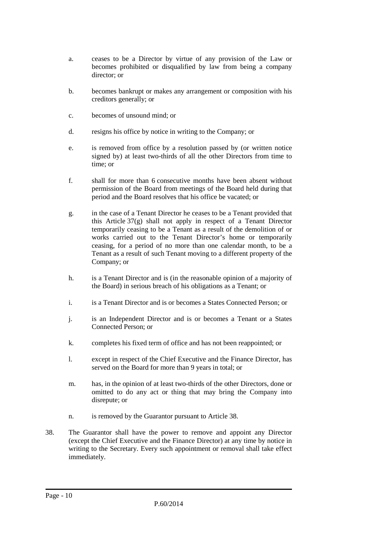- a. ceases to be a Director by virtue of any provision of the Law or becomes prohibited or disqualified by law from being a company director; or
- b. becomes bankrupt or makes any arrangement or composition with his creditors generally; or
- c. becomes of unsound mind; or
- d. resigns his office by notice in writing to the Company; or
- e. is removed from office by a resolution passed by (or written notice signed by) at least two-thirds of all the other Directors from time to time; or
- f. shall for more than 6 consecutive months have been absent without permission of the Board from meetings of the Board held during that period and the Board resolves that his office be vacated; or
- g. in the case of a Tenant Director he ceases to be a Tenant provided that this Article 37(g) shall not apply in respect of a Tenant Director temporarily ceasing to be a Tenant as a result of the demolition of or works carried out to the Tenant Director's home or temporarily ceasing, for a period of no more than one calendar month, to be a Tenant as a result of such Tenant moving to a different property of the Company; or
- h. is a Tenant Director and is (in the reasonable opinion of a majority of the Board) in serious breach of his obligations as a Tenant; or
- i. is a Tenant Director and is or becomes a States Connected Person; or
- j. is an Independent Director and is or becomes a Tenant or a States Connected Person; or
- k. completes his fixed term of office and has not been reappointed; or
- l. except in respect of the Chief Executive and the Finance Director, has served on the Board for more than 9 years in total; or
- m. has, in the opinion of at least two-thirds of the other Directors, done or omitted to do any act or thing that may bring the Company into disrepute; or
- n. is removed by the Guarantor pursuant to Article 38.
- 38. The Guarantor shall have the power to remove and appoint any Director (except the Chief Executive and the Finance Director) at any time by notice in writing to the Secretary. Every such appointment or removal shall take effect immediately.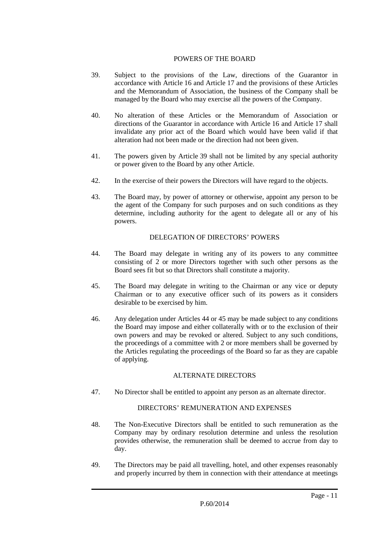#### POWERS OF THE BOARD

- 39. Subject to the provisions of the Law, directions of the Guarantor in accordance with Article 16 and Article 17 and the provisions of these Articles and the Memorandum of Association, the business of the Company shall be managed by the Board who may exercise all the powers of the Company.
- 40. No alteration of these Articles or the Memorandum of Association or directions of the Guarantor in accordance with Article 16 and Article 17 shall invalidate any prior act of the Board which would have been valid if that alteration had not been made or the direction had not been given.
- 41. The powers given by Article 39 shall not be limited by any special authority or power given to the Board by any other Article.
- 42. In the exercise of their powers the Directors will have regard to the objects.
- 43. The Board may, by power of attorney or otherwise, appoint any person to be the agent of the Company for such purposes and on such conditions as they determine, including authority for the agent to delegate all or any of his powers.

## DELEGATION OF DIRECTORS' POWERS

- 44. The Board may delegate in writing any of its powers to any committee consisting of 2 or more Directors together with such other persons as the Board sees fit but so that Directors shall constitute a majority.
- 45. The Board may delegate in writing to the Chairman or any vice or deputy Chairman or to any executive officer such of its powers as it considers desirable to be exercised by him.
- 46. Any delegation under Articles 44 or 45 may be made subject to any conditions the Board may impose and either collaterally with or to the exclusion of their own powers and may be revoked or altered. Subject to any such conditions, the proceedings of a committee with 2 or more members shall be governed by the Articles regulating the proceedings of the Board so far as they are capable of applying.

## ALTERNATE DIRECTORS

47. No Director shall be entitled to appoint any person as an alternate director.

## DIRECTORS' REMUNERATION AND EXPENSES

- 48. The Non-Executive Directors shall be entitled to such remuneration as the Company may by ordinary resolution determine and unless the resolution provides otherwise, the remuneration shall be deemed to accrue from day to day.
- 49. The Directors may be paid all travelling, hotel, and other expenses reasonably and properly incurred by them in connection with their attendance at meetings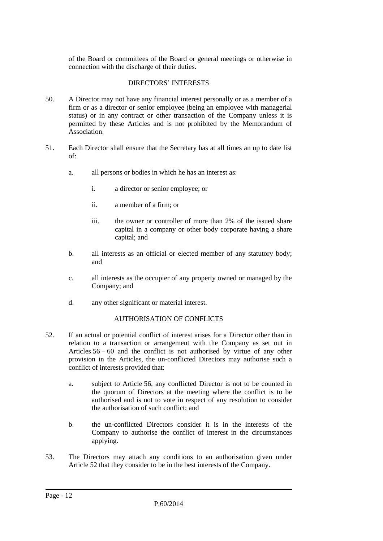of the Board or committees of the Board or general meetings or otherwise in connection with the discharge of their duties.

## DIRECTORS' INTERESTS

- 50. A Director may not have any financial interest personally or as a member of a firm or as a director or senior employee (being an employee with managerial status) or in any contract or other transaction of the Company unless it is permitted by these Articles and is not prohibited by the Memorandum of Association.
- 51. Each Director shall ensure that the Secretary has at all times an up to date list of:
	- a. all persons or bodies in which he has an interest as:
		- i. a director or senior employee; or
		- ii. a member of a firm; or
		- iii. the owner or controller of more than 2% of the issued share capital in a company or other body corporate having a share capital; and
	- b. all interests as an official or elected member of any statutory body; and
	- c. all interests as the occupier of any property owned or managed by the Company; and
	- d. any other significant or material interest.

## AUTHORISATION OF CONFLICTS

- 52. If an actual or potential conflict of interest arises for a Director other than in relation to a transaction or arrangement with the Company as set out in Articles  $56 - 60$  and the conflict is not authorised by virtue of any other provision in the Articles, the un-conflicted Directors may authorise such a conflict of interests provided that:
	- a. subject to Article 56, any conflicted Director is not to be counted in the quorum of Directors at the meeting where the conflict is to be authorised and is not to vote in respect of any resolution to consider the authorisation of such conflict; and
	- b. the un-conflicted Directors consider it is in the interests of the Company to authorise the conflict of interest in the circumstances applying.
- 53. The Directors may attach any conditions to an authorisation given under Article 52 that they consider to be in the best interests of the Company.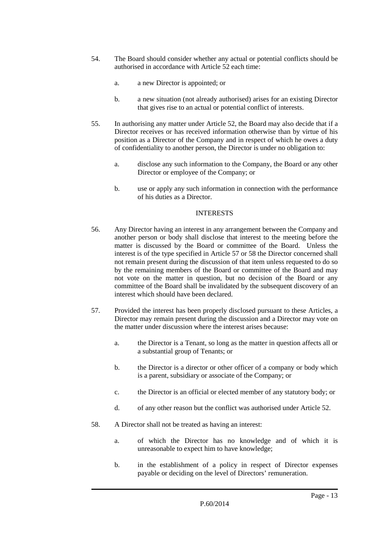- 54. The Board should consider whether any actual or potential conflicts should be authorised in accordance with Article 52 each time:
	- a. a new Director is appointed; or
	- b. a new situation (not already authorised) arises for an existing Director that gives rise to an actual or potential conflict of interests.
- 55. In authorising any matter under Article 52, the Board may also decide that if a Director receives or has received information otherwise than by virtue of his position as a Director of the Company and in respect of which he owes a duty of confidentiality to another person, the Director is under no obligation to:
	- a. disclose any such information to the Company, the Board or any other Director or employee of the Company; or
	- b. use or apply any such information in connection with the performance of his duties as a Director.

#### INTERESTS

- 56. Any Director having an interest in any arrangement between the Company and another person or body shall disclose that interest to the meeting before the matter is discussed by the Board or committee of the Board. Unless the interest is of the type specified in Article 57 or 58 the Director concerned shall not remain present during the discussion of that item unless requested to do so by the remaining members of the Board or committee of the Board and may not vote on the matter in question, but no decision of the Board or any committee of the Board shall be invalidated by the subsequent discovery of an interest which should have been declared.
- 57. Provided the interest has been properly disclosed pursuant to these Articles, a Director may remain present during the discussion and a Director may vote on the matter under discussion where the interest arises because:
	- a. the Director is a Tenant, so long as the matter in question affects all or a substantial group of Tenants; or
	- b. the Director is a director or other officer of a company or body which is a parent, subsidiary or associate of the Company; or
	- c. the Director is an official or elected member of any statutory body; or
	- d. of any other reason but the conflict was authorised under Article 52.
- 58. A Director shall not be treated as having an interest:
	- a. of which the Director has no knowledge and of which it is unreasonable to expect him to have knowledge;
	- b. in the establishment of a policy in respect of Director expenses payable or deciding on the level of Directors' remuneration.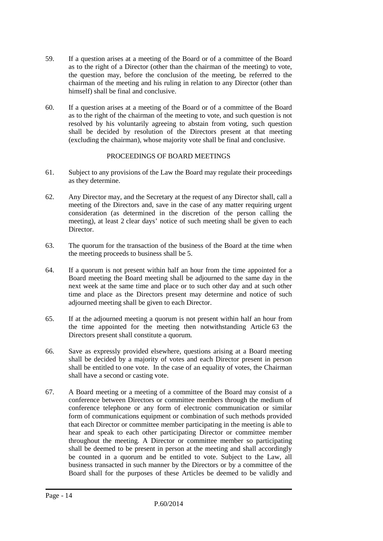- 59. If a question arises at a meeting of the Board or of a committee of the Board as to the right of a Director (other than the chairman of the meeting) to vote, the question may, before the conclusion of the meeting, be referred to the chairman of the meeting and his ruling in relation to any Director (other than himself) shall be final and conclusive.
- 60. If a question arises at a meeting of the Board or of a committee of the Board as to the right of the chairman of the meeting to vote, and such question is not resolved by his voluntarily agreeing to abstain from voting, such question shall be decided by resolution of the Directors present at that meeting (excluding the chairman), whose majority vote shall be final and conclusive.

## PROCEEDINGS OF BOARD MEETINGS

- 61. Subject to any provisions of the Law the Board may regulate their proceedings as they determine.
- 62. Any Director may, and the Secretary at the request of any Director shall, call a meeting of the Directors and, save in the case of any matter requiring urgent consideration (as determined in the discretion of the person calling the meeting), at least 2 clear days' notice of such meeting shall be given to each Director.
- 63. The quorum for the transaction of the business of the Board at the time when the meeting proceeds to business shall be 5.
- 64. If a quorum is not present within half an hour from the time appointed for a Board meeting the Board meeting shall be adjourned to the same day in the next week at the same time and place or to such other day and at such other time and place as the Directors present may determine and notice of such adjourned meeting shall be given to each Director.
- 65. If at the adjourned meeting a quorum is not present within half an hour from the time appointed for the meeting then notwithstanding Article 63 the Directors present shall constitute a quorum.
- 66. Save as expressly provided elsewhere, questions arising at a Board meeting shall be decided by a majority of votes and each Director present in person shall be entitled to one vote. In the case of an equality of votes, the Chairman shall have a second or casting vote.
- 67. A Board meeting or a meeting of a committee of the Board may consist of a conference between Directors or committee members through the medium of conference telephone or any form of electronic communication or similar form of communications equipment or combination of such methods provided that each Director or committee member participating in the meeting is able to hear and speak to each other participating Director or committee member throughout the meeting. A Director or committee member so participating shall be deemed to be present in person at the meeting and shall accordingly be counted in a quorum and be entitled to vote. Subject to the Law, all business transacted in such manner by the Directors or by a committee of the Board shall for the purposes of these Articles be deemed to be validly and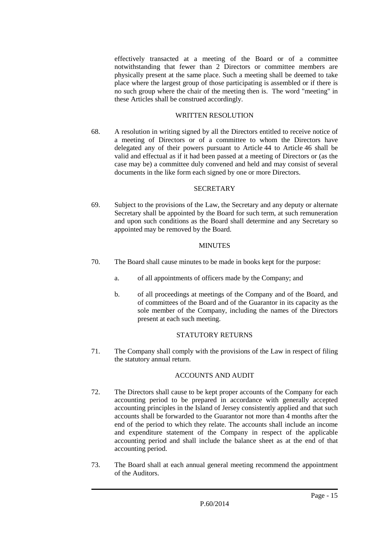effectively transacted at a meeting of the Board or of a committee notwithstanding that fewer than 2 Directors or committee members are physically present at the same place. Such a meeting shall be deemed to take place where the largest group of those participating is assembled or if there is no such group where the chair of the meeting then is. The word "meeting" in these Articles shall be construed accordingly.

#### WRITTEN RESOLUTION

68. A resolution in writing signed by all the Directors entitled to receive notice of a meeting of Directors or of a committee to whom the Directors have delegated any of their powers pursuant to Article 44 to Article 46 shall be valid and effectual as if it had been passed at a meeting of Directors or (as the case may be) a committee duly convened and held and may consist of several documents in the like form each signed by one or more Directors.

#### **SECRETARY**

69. Subject to the provisions of the Law, the Secretary and any deputy or alternate Secretary shall be appointed by the Board for such term, at such remuneration and upon such conditions as the Board shall determine and any Secretary so appointed may be removed by the Board.

## **MINUTES**

- 70. The Board shall cause minutes to be made in books kept for the purpose:
	- a. of all appointments of officers made by the Company; and
	- b. of all proceedings at meetings of the Company and of the Board, and of committees of the Board and of the Guarantor in its capacity as the sole member of the Company, including the names of the Directors present at each such meeting.

## STATUTORY RETURNS

71. The Company shall comply with the provisions of the Law in respect of filing the statutory annual return.

## ACCOUNTS AND AUDIT

- 72. The Directors shall cause to be kept proper accounts of the Company for each accounting period to be prepared in accordance with generally accepted accounting principles in the Island of Jersey consistently applied and that such accounts shall be forwarded to the Guarantor not more than 4 months after the end of the period to which they relate. The accounts shall include an income and expenditure statement of the Company in respect of the applicable accounting period and shall include the balance sheet as at the end of that accounting period.
- 73. The Board shall at each annual general meeting recommend the appointment of the Auditors.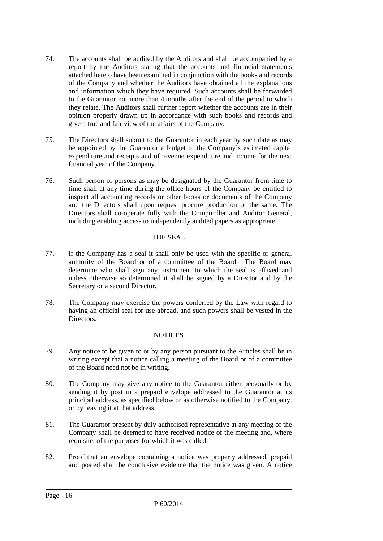- 74. The accounts shall be audited by the Auditors and shall be accompanied by a report by the Auditors stating that the accounts and financial statements attached hereto have been examined in conjunction with the books and records of the Company and whether the Auditors have obtained all the explanations and information which they have required. Such accounts shall be forwarded to the Guarantor not more than 4 months after the end of the period to which they relate. The Auditors shall further report whether the accounts are in their opinion properly drawn up in accordance with such books and records and give a true and fair view of the affairs of the Company.
- 75. The Directors shall submit to the Guarantor in each year by such date as may be appointed by the Guarantor a budget of the Company's estimated capital expenditure and receipts and of revenue expenditure and income for the next financial year of the Company.
- 76. Such person or persons as may be designated by the Guarantor from time to time shall at any time during the office hours of the Company be entitled to inspect all accounting records or other books or documents of the Company and the Directors shall upon request procure production of the same. The Directors shall co-operate fully with the Comptroller and Auditor General, including enabling access to independently audited papers as appropriate.

## THE SEAL

- 77. If the Company has a seal it shall only be used with the specific or general authority of the Board or of a committee of the Board. The Board may determine who shall sign any instrument to which the seal is affixed and unless otherwise so determined it shall be signed by a Director and by the Secretary or a second Director.
- 78. The Company may exercise the powers conferred by the Law with regard to having an official seal for use abroad, and such powers shall be vested in the **Directors**

## **NOTICES**

- 79. Any notice to be given to or by any person pursuant to the Articles shall be in writing except that a notice calling a meeting of the Board or of a committee of the Board need not be in writing.
- 80. The Company may give any notice to the Guarantor either personally or by sending it by post in a prepaid envelope addressed to the Guarantor at its principal address, as specified below or as otherwise notified to the Company, or by leaving it at that address.
- 81. The Guarantor present by duly authorised representative at any meeting of the Company shall be deemed to have received notice of the meeting and, where requisite, of the purposes for which it was called.
- 82. Proof that an envelope containing a notice was properly addressed, prepaid and posted shall be conclusive evidence that the notice was given. A notice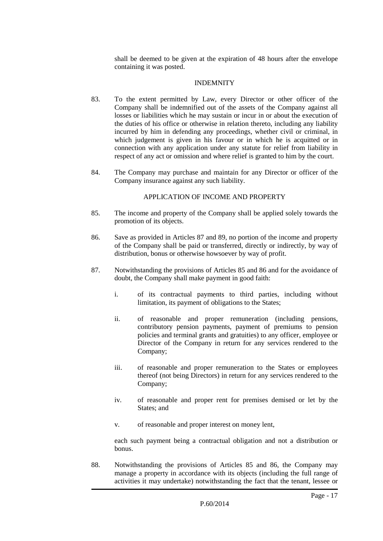shall be deemed to be given at the expiration of 48 hours after the envelope containing it was posted.

#### INDEMNITY

- 83. To the extent permitted by Law, every Director or other officer of the Company shall be indemnified out of the assets of the Company against all losses or liabilities which he may sustain or incur in or about the execution of the duties of his office or otherwise in relation thereto, including any liability incurred by him in defending any proceedings, whether civil or criminal, in which judgement is given in his favour or in which he is acquitted or in connection with any application under any statute for relief from liability in respect of any act or omission and where relief is granted to him by the court.
- 84. The Company may purchase and maintain for any Director or officer of the Company insurance against any such liability.

## APPLICATION OF INCOME AND PROPERTY

- 85. The income and property of the Company shall be applied solely towards the promotion of its objects.
- 86. Save as provided in Articles 87 and 89, no portion of the income and property of the Company shall be paid or transferred, directly or indirectly, by way of distribution, bonus or otherwise howsoever by way of profit.
- 87. Notwithstanding the provisions of Articles 85 and 86 and for the avoidance of doubt, the Company shall make payment in good faith:
	- i. of its contractual payments to third parties, including without limitation, its payment of obligations to the States;
	- ii. of reasonable and proper remuneration (including pensions, contributory pension payments, payment of premiums to pension policies and terminal grants and gratuities) to any officer, employee or Director of the Company in return for any services rendered to the Company;
	- iii. of reasonable and proper remuneration to the States or employees thereof (not being Directors) in return for any services rendered to the Company;
	- iv. of reasonable and proper rent for premises demised or let by the States; and
	- v. of reasonable and proper interest on money lent,

each such payment being a contractual obligation and not a distribution or bonus.

88. Notwithstanding the provisions of Articles 85 and 86, the Company may manage a property in accordance with its objects (including the full range of activities it may undertake) notwithstanding the fact that the tenant, lessee or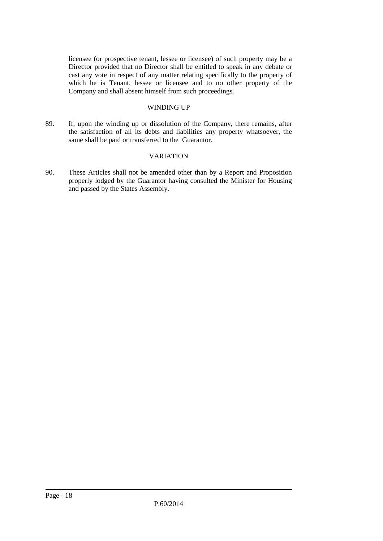licensee (or prospective tenant, lessee or licensee) of such property may be a Director provided that no Director shall be entitled to speak in any debate or cast any vote in respect of any matter relating specifically to the property of which he is Tenant, lessee or licensee and to no other property of the Company and shall absent himself from such proceedings.

#### WINDING UP

89. If, upon the winding up or dissolution of the Company, there remains, after the satisfaction of all its debts and liabilities any property whatsoever, the same shall be paid or transferred to the Guarantor.

#### VARIATION

90. These Articles shall not be amended other than by a Report and Proposition properly lodged by the Guarantor having consulted the Minister for Housing and passed by the States Assembly.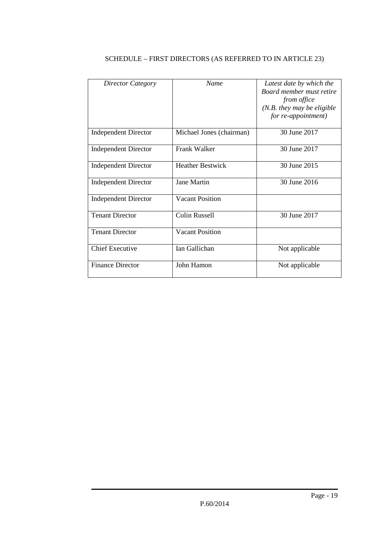| Director Category           | <b>Name</b>              | Latest date by which the     |
|-----------------------------|--------------------------|------------------------------|
|                             |                          | Board member must retire     |
|                             |                          | from office                  |
|                             |                          | $(N.B.$ they may be eligible |
|                             |                          |                              |
|                             |                          | for re-appointment)          |
|                             |                          |                              |
| <b>Independent Director</b> | Michael Jones (chairman) | 30 June 2017                 |
|                             |                          |                              |
| <b>Independent Director</b> | <b>Frank Walker</b>      | 30 June 2017                 |
|                             |                          |                              |
| <b>Independent Director</b> | <b>Heather Bestwick</b>  | 30 June 2015                 |
|                             |                          |                              |
|                             |                          |                              |
| <b>Independent Director</b> | Jane Martin              | 30 June 2016                 |
|                             |                          |                              |
| <b>Independent Director</b> | <b>Vacant Position</b>   |                              |
|                             |                          |                              |
| <b>Tenant Director</b>      | <b>Colin Russell</b>     | 30 June 2017                 |
|                             |                          |                              |
| <b>Tenant Director</b>      | <b>Vacant Position</b>   |                              |
|                             |                          |                              |
|                             |                          |                              |
| <b>Chief Executive</b>      | Ian Gallichan            | Not applicable               |
|                             |                          |                              |
| <b>Finance Director</b>     | John Hamon               | Not applicable               |
|                             |                          |                              |
|                             |                          |                              |

## SCHEDULE – FIRST DIRECTORS (AS REFERRED TO IN ARTICLE 23)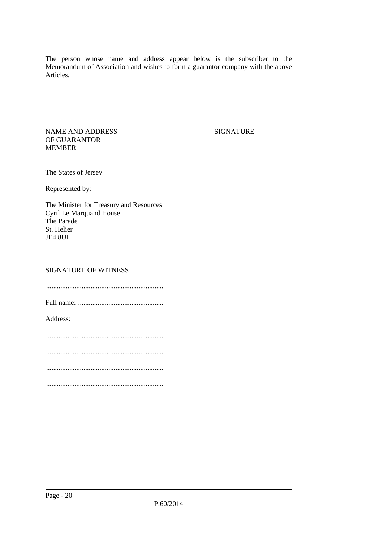The person whose name and address appear below is the subscriber to the Memorandum of Association and wishes to form a guarantor company with the above Articles.

NAME AND ADDRESS OF GUARANTOR MEMBER

**SIGNATURE** 

The States of Jersey

Represented by:

The Minister for Treasury and Resources Cyril Le Marquand House The Parade St. Helier JE4 8UL

#### SIGNATURE OF WITNESS

..................................................................

Full name: ................................................

Address:

..................................................................

..................................................................

..................................................................

..................................................................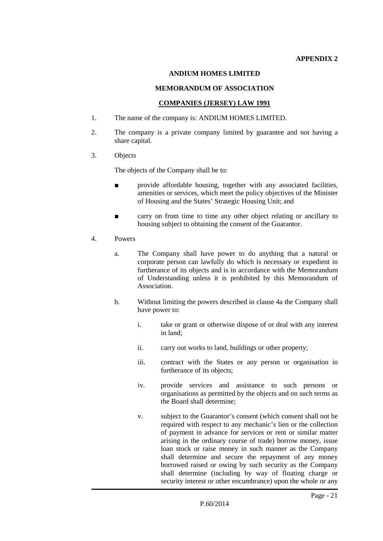#### **ANDIUM HOMES LIMITED**

#### **MEMORANDUM OF ASSOCIATION**

#### **COMPANIES (JERSEY) LAW 1991**

- 1. The name of the company is: ANDIUM HOMES LIMITED.
- 2. The company is a private company limited by guarantee and not having a share capital.
- 3. Objects

The objects of the Company shall be to:

- provide affordable housing, together with any associated facilities, amenities or services, which meet the policy objectives of the Minister of Housing and the States' Strategic Housing Unit; and
- carry on from time to time any other object relating or ancillary to housing subject to obtaining the consent of the Guarantor.
- 4. Powers
	- a. The Company shall have power to do anything that a natural or corporate person can lawfully do which is necessary or expedient in furtherance of its objects and is in accordance with the Memorandum of Understanding unless it is prohibited by this Memorandum of Association.
	- b. Without limiting the powers described in clause 4a the Company shall have power to:
		- i. take or grant or otherwise dispose of or deal with any interest in land;
		- ii. carry out works to land, buildings or other property;
		- iii. contract with the States or any person or organisation in furtherance of its objects;
		- iv. provide services and assistance to such persons or organisations as permitted by the objects and on such terms as the Board shall determine;
		- v. subject to the Guarantor's consent (which consent shall not be required with respect to any mechanic's lien or the collection of payment in advance for services or rent or similar matter arising in the ordinary course of trade) borrow money, issue loan stock or raise money in such manner as the Company shall determine and secure the repayment of any money borrowed raised or owing by such security as the Company shall determine (including by way of floating charge or security interest or other encumbrance) upon the whole or any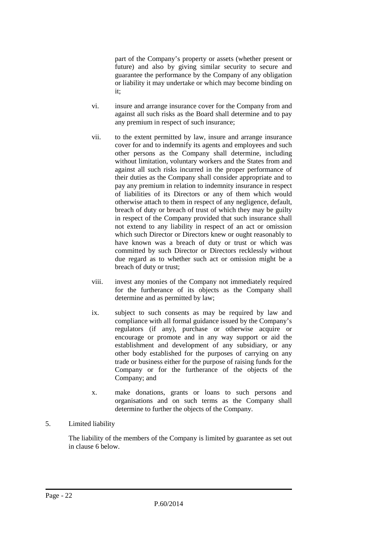part of the Company's property or assets (whether present or future) and also by giving similar security to secure and guarantee the performance by the Company of any obligation or liability it may undertake or which may become binding on it;

- vi. insure and arrange insurance cover for the Company from and against all such risks as the Board shall determine and to pay any premium in respect of such insurance;
- vii. to the extent permitted by law, insure and arrange insurance cover for and to indemnify its agents and employees and such other persons as the Company shall determine, including without limitation, voluntary workers and the States from and against all such risks incurred in the proper performance of their duties as the Company shall consider appropriate and to pay any premium in relation to indemnity insurance in respect of liabilities of its Directors or any of them which would otherwise attach to them in respect of any negligence, default, breach of duty or breach of trust of which they may be guilty in respect of the Company provided that such insurance shall not extend to any liability in respect of an act or omission which such Director or Directors knew or ought reasonably to have known was a breach of duty or trust or which was committed by such Director or Directors recklessly without due regard as to whether such act or omission might be a breach of duty or trust;
- viii. invest any monies of the Company not immediately required for the furtherance of its objects as the Company shall determine and as permitted by law;
- ix. subject to such consents as may be required by law and compliance with all formal guidance issued by the Company's regulators (if any), purchase or otherwise acquire or encourage or promote and in any way support or aid the establishment and development of any subsidiary, or any other body established for the purposes of carrying on any trade or business either for the purpose of raising funds for the Company or for the furtherance of the objects of the Company; and
- x. make donations, grants or loans to such persons and organisations and on such terms as the Company shall determine to further the objects of the Company.

## 5. Limited liability

The liability of the members of the Company is limited by guarantee as set out in clause 6 below.